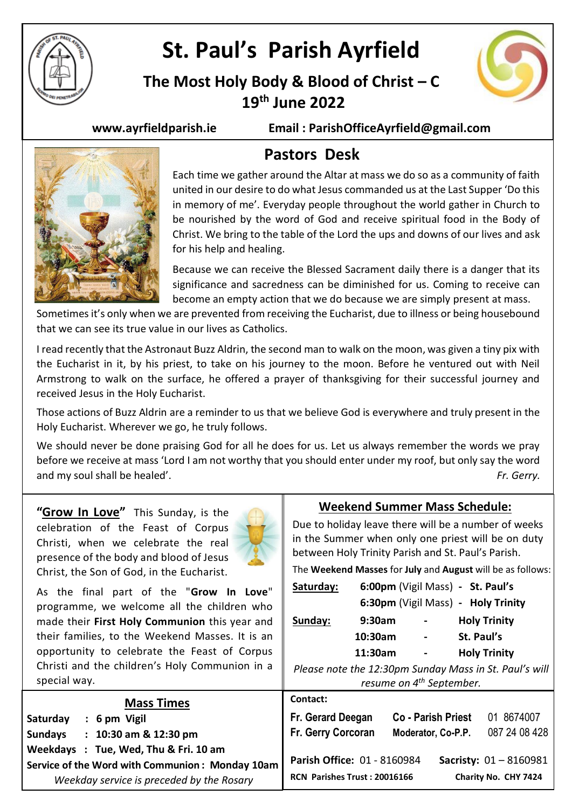

# **St. Paul's Parish Ayrfield**

## **The Most Holy Body & Blood of Christ – C 19 th June 2022**



**www.ayrfieldparish.ie Email : ParishOfficeAyrfield@gmail.com**



### **Pastors Desk**

Each time we gather around the Altar at mass we do so as a community of faith united in our desire to do what Jesus commanded us at the Last Supper 'Do this in memory of me'. Everyday people throughout the world gather in Church to be nourished by the word of God and receive spiritual food in the Body of Christ. We bring to the table of the Lord the ups and downs of our lives and ask for his help and healing.

Because we can receive the Blessed Sacrament daily there is a danger that its significance and sacredness can be diminished for us. Coming to receive can become an empty action that we do because we are simply present at mass.

Sometimes it's only when we are prevented from receiving the Eucharist, due to illness or being housebound that we can see its true value in our lives as Catholics.

I read recently that the Astronaut Buzz Aldrin, the second man to walk on the moon, was given a tiny pix with the Eucharist in it, by his priest, to take on his journey to the moon. Before he ventured out with Neil Armstrong to walk on the surface, he offered a prayer of thanksgiving for their successful journey and received Jesus in the Holy Eucharist.

Those actions of Buzz Aldrin are a reminder to us that we believe God is everywhere and truly present in the Holy Eucharist. Wherever we go, he truly follows.

We should never be done praising God for all he does for us. Let us always remember the words we pray before we receive at mass 'Lord I am not worthy that you should enter under my roof, but only say the word and my soul shall be healed'. *Fr. Gerry.*

**"Grow In Love"** This Sunday, is the celebration of the Feast of Corpus Christi, when we celebrate the real presence of the body and blood of Jesus Christ, the Son of God, in the Eucharist.



As the final part of the "**Grow In Love**" programme, we welcome all the children who made their **First Holy Communion** this year and their families, to the Weekend Masses. It is an opportunity to celebrate the Feast of Corpus Christi and the children's Holy Communion in a special way.

### **Weekend Summer Mass Schedule:**

Due to holiday leave there will be a number of weeks in the Summer when only one priest will be on duty between Holy Trinity Parish and St. Paul's Parish.

The **Weekend Masses** for **July** and **August** will be as follows:

| Saturday:                                              | 6:00pm (Vigil Mass) - St. Paul's   |  |                    |                     |  |  |
|--------------------------------------------------------|------------------------------------|--|--------------------|---------------------|--|--|
|                                                        | 6:30pm (Vigil Mass) - Holy Trinity |  |                    |                     |  |  |
| Sunday:                                                | 9:30am                             |  |                    | <b>Holy Trinity</b> |  |  |
|                                                        | 10:30am                            |  |                    | St. Paul's          |  |  |
|                                                        | 11:30am                            |  |                    | <b>Holy Trinity</b> |  |  |
| Please note the 12:30pm Sunday Mass in St. Paul's will |                                    |  |                    |                     |  |  |
| resume on 4 <sup>th</sup> September.                   |                                    |  |                    |                     |  |  |
| Contact:                                               |                                    |  |                    |                     |  |  |
| Fr. Gerard Deegan                                      |                                    |  | Co - Parish Priest | 01 8674007          |  |  |
| $\overline{\phantom{a}}$                               |                                    |  |                    | . <i>.</i>          |  |  |

| <b>Mass Times</b>                               | Contact:                     |                           |                          |
|-------------------------------------------------|------------------------------|---------------------------|--------------------------|
| Saturday<br>6 pm Vigil                          | Fr. Gerard Deegan            | <b>Co - Parish Priest</b> | 8674007<br>01            |
| 10:30 am & 12:30 pm<br><b>Sundays</b>           | <b>Fr. Gerry Corcoran</b>    | Moderator, Co-P.P.        | 087 24 08 428            |
| Weekdays : Tue, Wed, Thu & Fri. 10 am           |                              |                           |                          |
| Service of the Word with Communion: Monday 10am | Parish Office: 01 - 8160984  |                           | Sacristy: $01 - 8160981$ |
| Weekday service is preceded by the Rosary       | RCN Parishes Trust: 20016166 |                           | Charity No. CHY 7424     |